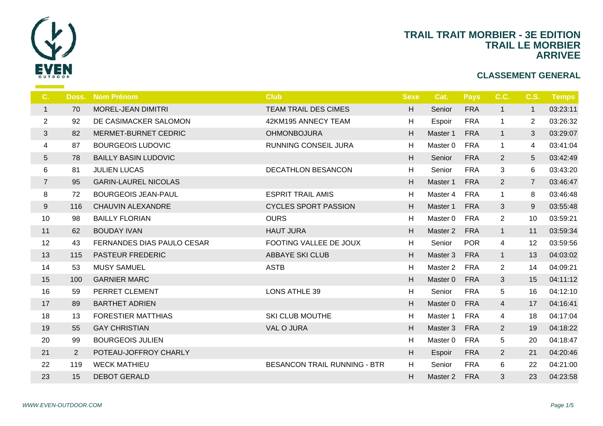

|                | <b>Nom Prénom</b>           | <b>Club</b>                         | <b>Sexe</b> | $\mathbf C$    |
|----------------|-----------------------------|-------------------------------------|-------------|----------------|
| 70             | MOREL-JEAN DIMITRI          | <b>TEAM TRAIL DES CIMES</b>         | H           | S <sub>d</sub> |
| 92             | DE CASIMACKER SALOMON       | 42KM195 ANNECY TEAM                 | H           | Es             |
| 82             | MERMET-BURNET CEDRIC        | <b>OHMONBOJURA</b>                  | H           | Ma             |
| 87             | <b>BOURGEOIS LUDOVIC</b>    | <b>RUNNING CONSEIL JURA</b>         | H           | Ma             |
| 78             | <b>BAILLY BASIN LUDOVIC</b> |                                     | H           | S <sub>6</sub> |
| 81             | <b>JULIEN LUCAS</b>         | <b>DECATHLON BESANCON</b>           | H           | Se             |
| 95             | <b>GARIN-LAUREL NICOLAS</b> |                                     | H           | Ma             |
| 72             | <b>BOURGEOIS JEAN-PAUL</b>  | <b>ESPRIT TRAIL AMIS</b>            | H           | Ma             |
| 116            | <b>CHAUVIN ALEXANDRE</b>    | <b>CYCLES SPORT PASSION</b>         | H           | Ma             |
| 98             | <b>BAILLY FLORIAN</b>       | <b>OURS</b>                         | H           | Ma             |
| 62             | <b>BOUDAY IVAN</b>          | <b>HAUT JURA</b>                    | H           | Ma             |
| 43             | FERNANDES DIAS PAULO CESAR  | FOOTING VALLEE DE JOUX              | H           | S <sub>6</sub> |
| 115            | <b>PASTEUR FREDERIC</b>     | <b>ABBAYE SKI CLUB</b>              | H           | Ma             |
| 53             | <b>MUSY SAMUEL</b>          | <b>ASTB</b>                         | H           | Ma             |
| 100            | <b>GARNIER MARC</b>         |                                     | H           | Ma             |
| 59             | PERRET CLEMENT              | <b>LONS ATHLE 39</b>                | H           | S <sub>d</sub> |
| 89             | <b>BARTHET ADRIEN</b>       |                                     | H           | Ma             |
| 13             | <b>FORESTIER MATTHIAS</b>   | <b>SKI CLUB MOUTHE</b>              | H           | Ma             |
| 55             | <b>GAY CHRISTIAN</b>        | VAL O JURA                          | H           | Ma             |
| 99             | <b>BOURGEOIS JULIEN</b>     |                                     | H           | Ma             |
| $\overline{2}$ | POTEAU-JOFFROY CHARLY       |                                     | H           | Es             |
| 119            | <b>WECK MATHIEU</b>         | <b>BESANCON TRAIL RUNNING - BTR</b> | H           | S <sub>d</sub> |
| 15             | <b>DEBOT GERALD</b>         |                                     | H           | Ma             |
|                |                             | Doss.                               |             |                |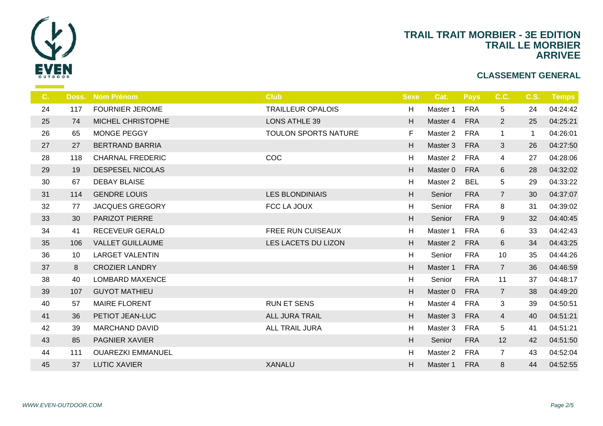

| C. |     | <b>Doss. Nom Prénom</b>  | <b>Club</b>                 | <b>Sexe</b> | -C             |
|----|-----|--------------------------|-----------------------------|-------------|----------------|
| 24 | 117 | <b>FOURNIER JEROME</b>   | <b>TRAILLEUR OPALOIS</b>    | H           | Ma             |
| 25 | 74  | MICHEL CHRISTOPHE        | LONS ATHLE 39               | H           | Ma             |
| 26 | 65  | MONGE PEGGY              | <b>TOULON SPORTS NATURE</b> | F.          | Ma             |
| 27 | 27  | <b>BERTRAND BARRIA</b>   |                             | H           | Ma             |
| 28 | 118 | <b>CHARNAL FREDERIC</b>  | COC                         | H           | Ma             |
| 29 | 19  | <b>DESPESEL NICOLAS</b>  |                             | H           | Ma             |
| 30 | 67  | <b>DEBAY BLAISE</b>      |                             | H           | Ma             |
| 31 | 114 | <b>GENDRE LOUIS</b>      | <b>LES BLONDINIAIS</b>      | H           | S <sub>6</sub> |
| 32 | 77  | <b>JACQUES GREGORY</b>   | FCC LA JOUX                 | H           | S <sub>d</sub> |
| 33 | 30  | PARIZOT PIERRE           |                             | H           | S <sub>d</sub> |
| 34 | 41  | RECEVEUR GERALD          | <b>FREE RUN CUISEAUX</b>    | H           | Ma             |
| 35 | 106 | <b>VALLET GUILLAUME</b>  | LES LACETS DU LIZON         | H           | Ma             |
| 36 | 10  | <b>LARGET VALENTIN</b>   |                             | H           | S <sub>d</sub> |
| 37 | 8   | <b>CROZIER LANDRY</b>    |                             | H           | Ma             |
| 38 | 40  | <b>LOMBARD MAXENCE</b>   |                             | H           | S <sub>d</sub> |
| 39 | 107 | <b>GUYOT MATHIEU</b>     |                             | H           | Ma             |
| 40 | 57  | <b>MAIRE FLORENT</b>     | <b>RUN ET SENS</b>          | H           | Ma             |
| 41 | 36  | PETIOT JEAN-LUC          | ALL JURA TRAIL              | H           | Ma             |
| 42 | 39  | <b>MARCHAND DAVID</b>    | ALL TRAIL JURA              | H           | Ma             |
| 43 | 85  | PAGNIER XAVIER           |                             | H           | S <sub>6</sub> |
| 44 | 111 | <b>OUAREZKI EMMANUEL</b> |                             | H           | Ma             |
| 45 | 37  | <b>LUTIC XAVIER</b>      | <b>XANALU</b>               | H           | Ma             |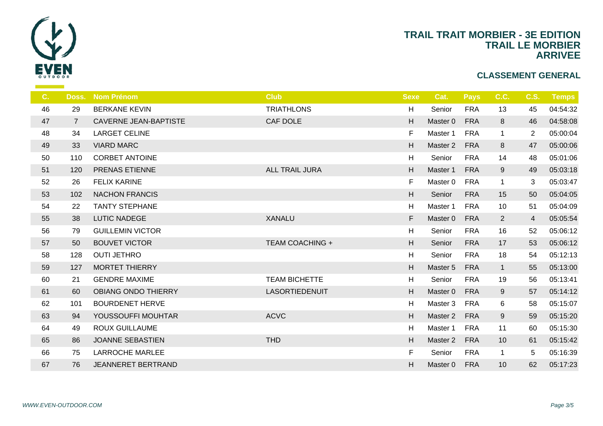

| C <sub>1</sub> |                | Doss. Nom Prénom             | <b>Club</b>            | <b>Sexe</b> | $\epsilon$     |
|----------------|----------------|------------------------------|------------------------|-------------|----------------|
| 46             | 29             | <b>BERKANE KEVIN</b>         | <b>TRIATHLONS</b>      | H           | Se             |
| 47             | $\overline{7}$ | <b>CAVERNE JEAN-BAPTISTE</b> | CAF DOLE               | H           | Ma:            |
| 48             | 34             | <b>LARGET CELINE</b>         |                        | F.          | Ma             |
| 49             | 33             | <b>VIARD MARC</b>            |                        | H           | Ma             |
| 50             | 110            | <b>CORBET ANTOINE</b>        |                        | H           | Se             |
| 51             | 120            | PRENAS ETIENNE               | <b>ALL TRAIL JURA</b>  | H           | Ma             |
| 52             | 26             | <b>FELIX KARINE</b>          |                        | F.          | Ma             |
| 53             | 102            | <b>NACHON FRANCIS</b>        |                        | H           | S <sub>d</sub> |
| 54             | 22             | <b>TANTY STEPHANE</b>        |                        | H           | Ma             |
| 55             | 38             | <b>LUTIC NADEGE</b>          | <b>XANALU</b>          | F           | Ma:            |
| 56             | 79             | <b>GUILLEMIN VICTOR</b>      |                        | H           | S <sub>d</sub> |
| 57             | 50             | <b>BOUVET VICTOR</b>         | <b>TEAM COACHING +</b> | H           | S <sub>d</sub> |
| 58             | 128            | <b>OUTI JETHRO</b>           |                        | H           | S <sub>d</sub> |
| 59             | 127            | <b>MORTET THIERRY</b>        |                        | H           | Ma             |
| 60             | 21             | <b>GENDRE MAXIME</b>         | <b>TEAM BICHETTE</b>   | H           | S <sub>d</sub> |
| 61             | 60             | <b>OBIANG ONDO THIERRY</b>   | <b>LASORTIEDENUIT</b>  | H           | Ma             |
| 62             | 101            | <b>BOURDENET HERVE</b>       |                        | H           | Ma             |
| 63             | 94             | YOUSSOUFFI MOUHTAR           | <b>ACVC</b>            | H           | Ma:            |
| 64             | 49             | <b>ROUX GUILLAUME</b>        |                        | H           | Ma             |
| 65             | 86             | <b>JOANNE SEBASTIEN</b>      | <b>THD</b>             | H           | Ma             |
| 66             | 75             | <b>LARROCHE MARLEE</b>       |                        | F.          | Se             |
| 67             | 76             | JEANNERET BERTRAND           |                        | H           | Ma:            |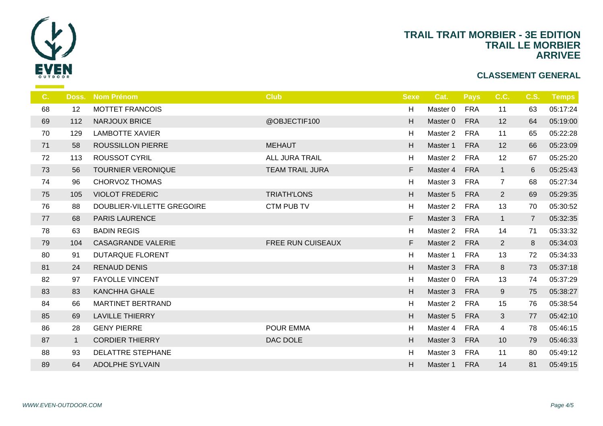

| C. | Doss.        | <b>Nom Prénom</b>          | <b>Club</b>            | <b>Sexe</b> |     |
|----|--------------|----------------------------|------------------------|-------------|-----|
| 68 | 12           | <b>MOTTET FRANCOIS</b>     |                        | H           | Ma  |
| 69 | 112          | <b>NARJOUX BRICE</b>       | @OBJECTIF100           | H           | Ma  |
| 70 | 129          | <b>LAMBOTTE XAVIER</b>     |                        | H           | Ma  |
| 71 | 58           | <b>ROUSSILLON PIERRE</b>   | <b>MEHAUT</b>          | H           | Ma: |
| 72 | 113          | <b>ROUSSOT CYRIL</b>       | <b>ALL JURA TRAIL</b>  | H           | Ma  |
| 73 | 56           | <b>TOURNIER VERONIQUE</b>  | <b>TEAM TRAIL JURA</b> | F.          | Ma  |
| 74 | 96           | <b>CHORVOZ THOMAS</b>      |                        | H           | Ma  |
| 75 | 105          | <b>VIOLOT FREDERIC</b>     | <b>TRIATH'LONS</b>     | H           | Ma  |
| 76 | 88           | DOUBLIER-VILLETTE GREGOIRE | <b>CTM PUB TV</b>      | H           | Ma  |
| 77 | 68           | <b>PARIS LAURENCE</b>      |                        | F.          | Ma  |
| 78 | 63           | <b>BADIN REGIS</b>         |                        | H           | Ma  |
| 79 | 104          | <b>CASAGRANDE VALERIE</b>  | FREE RUN CUISEAUX      | F           | Ma  |
| 80 | 91           | <b>DUTARQUE FLORENT</b>    |                        | H           | Ma  |
| 81 | 24           | <b>RENAUD DENIS</b>        |                        | H           | Ma  |
| 82 | 97           | <b>FAYOLLE VINCENT</b>     |                        | H           | Ma  |
| 83 | 83           | KANCHHA GHALE              |                        | H           | Ma  |
| 84 | 66           | <b>MARTINET BERTRAND</b>   |                        | H           | Ma  |
| 85 | 69           | <b>LAVILLE THIERRY</b>     |                        | H           | Ma  |
| 86 | 28           | <b>GENY PIERRE</b>         | POUR EMMA              | H           | Ma  |
| 87 | $\mathbf{1}$ | <b>CORDIER THIERRY</b>     | DAC DOLE               | H           | Ma  |
| 88 | 93           | <b>DELATTRE STEPHANE</b>   |                        | H           | Ma  |
| 89 | 64           | <b>ADOLPHE SYLVAIN</b>     |                        | H           | Mas |
|    |              |                            |                        |             |     |